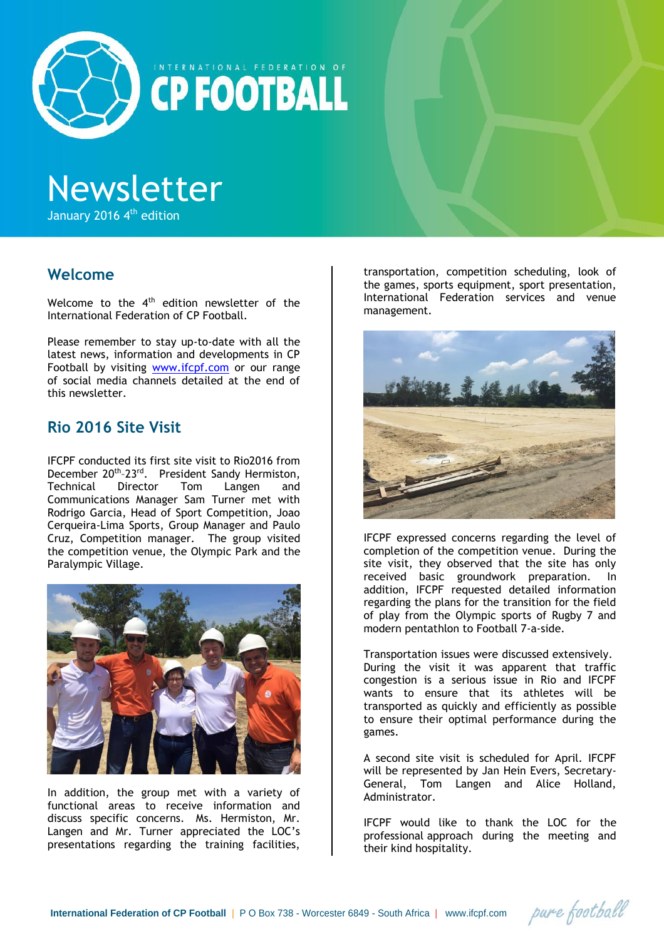

INTERNATIONAL FEDERATION OF **CP FOOTBALL** 

# Newsletter

January 2016 4<sup>th</sup> edition

## **Welcome**

Welcome to the 4<sup>th</sup> edition newsletter of the International Federation of CP Football.

Please remember to stay up-to-date with all the latest news, information and developments in CP Football by visiting [www.ifcpf.com](http://www.ifcpf.com/) or our range of social media channels detailed at the end of this newsletter.

## **Rio 2016 Site Visit**

IFCPF conducted its first site visit to Rio2016 from December 20<sup>th</sup>-23<sup>rd</sup>. President Sandy Hermiston, Technical Director Tom Langen and Communications Manager Sam Turner met with Rodrigo Garcia, Head of Sport Competition, Joao Cerqueira-Lima Sports, Group Manager and Paulo Cruz, Competition manager. The group visited the competition venue, the Olympic Park and the Paralympic Village.



In addition, the group met with a variety of functional areas to receive information and discuss specific concerns. Ms. Hermiston, Mr. Langen and Mr. Turner appreciated the LOC's presentations regarding the training facilities,

transportation, competition scheduling, look of the games, sports equipment, sport presentation, International Federation services and venue management.



IFCPF expressed concerns regarding the level of completion of the competition venue. During the site visit, they observed that the site has only received basic groundwork preparation. In addition, IFCPF requested detailed information regarding the plans for the transition for the field of play from the Olympic sports of Rugby 7 and modern pentathlon to Football 7-a-side.

Transportation issues were discussed extensively. During the visit it was apparent that traffic congestion is a serious issue in Rio and IFCPF wants to ensure that its athletes will be transported as quickly and efficiently as possible to ensure their optimal performance during the games.

A second site visit is scheduled for April. IFCPF will be represented by Jan Hein Evers, Secretary-General, Tom Langen and Alice Holland, Administrator.

IFCPF would like to thank the LOC for the professional approach during the meeting and their kind hospitality.

pure football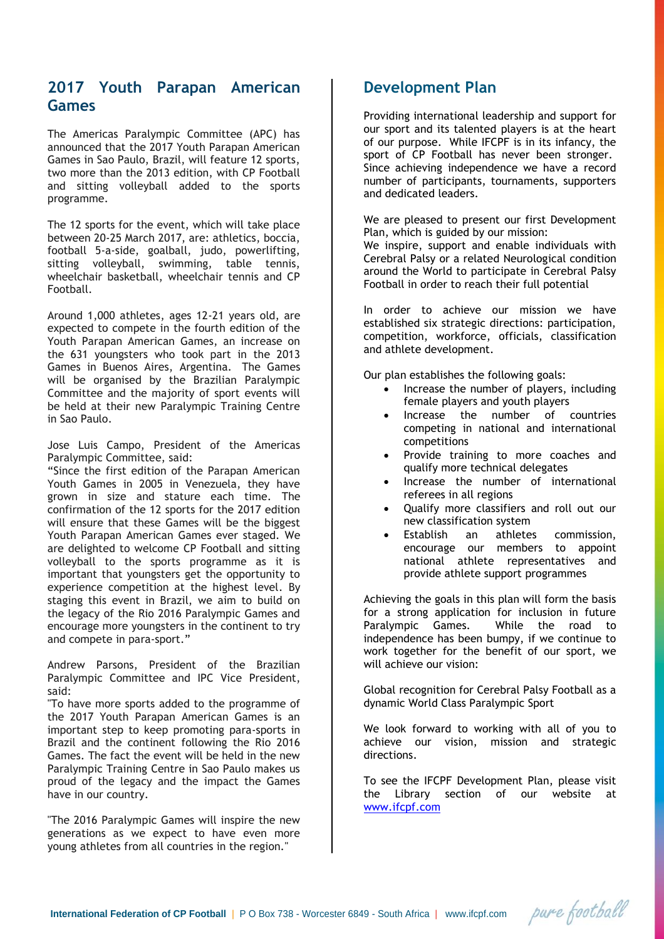## **2017 Youth Parapan American Games**

The Americas Paralympic Committee (APC) has announced that the 2017 Youth Parapan American Games in Sao Paulo, Brazil, will feature 12 sports, two more than the 2013 edition, with CP Football and sitting volleyball added to the sports programme.

The 12 sports for the event, which will take place between 20-25 March 2017, are: athletics, boccia, football 5-a-side, goalball, judo, powerlifting, sitting volleyball, swimming, table tennis, wheelchair basketball, wheelchair tennis and CP Football.

Around 1,000 athletes, ages 12-21 years old, are expected to compete in the fourth edition of the Youth Parapan American Games, an increase on the 631 youngsters who took part in the 2013 Games in Buenos Aires, Argentina. The Games will be organised by the Brazilian Paralympic Committee and the majority of sport events will be held at their new Paralympic Training Centre in Sao Paulo.

Jose Luis Campo, President of the Americas Paralympic Committee, said:

"Since the first edition of the Parapan American Youth Games in 2005 in Venezuela, they have grown in size and stature each time. The confirmation of the 12 sports for the 2017 edition will ensure that these Games will be the biggest Youth Parapan American Games ever staged. We are delighted to welcome CP Football and sitting volleyball to the sports programme as it is important that youngsters get the opportunity to experience competition at the highest level. By staging this event in Brazil, we aim to build on the legacy of the Rio 2016 Paralympic Games and encourage more youngsters in the continent to try and compete in para-sport."

Andrew Parsons, President of the Brazilian Paralympic Committee and IPC Vice President, said:

"To have more sports added to the programme of the 2017 Youth Parapan American Games is an important step to keep promoting para-sports in Brazil and the continent following the Rio 2016 Games. The fact the event will be held in the new Paralympic Training Centre in Sao Paulo makes us proud of the legacy and the impact the Games have in our country.

"The 2016 Paralympic Games will inspire the new generations as we expect to have even more young athletes from all countries in the region."

## **Development Plan**

Providing international leadership and support for our sport and its talented players is at the heart of our purpose. While IFCPF is in its infancy, the sport of CP Football has never been stronger. Since achieving independence we have a record number of participants, tournaments, supporters and dedicated leaders.

We are pleased to present our first Development Plan, which is guided by our mission: We inspire, support and enable individuals with Cerebral Palsy or a related Neurological condition around the World to participate in Cerebral Palsy Football in order to reach their full potential

In order to achieve our mission we have established six strategic directions: participation, competition, workforce, officials, classification and athlete development.

Our plan establishes the following goals:

- Increase the number of players, including female players and youth players
- Increase the number of countries competing in national and international competitions
- Provide training to more coaches and qualify more technical delegates
- Increase the number of international referees in all regions
- Qualify more classifiers and roll out our new classification system
- Establish an athletes commission, encourage our members to appoint national athlete representatives and provide athlete support programmes

Achieving the goals in this plan will form the basis for a strong application for inclusion in future Paralympic Games. While the road to independence has been bumpy, if we continue to work together for the benefit of our sport, we will achieve our vision:

Global recognition for Cerebral Palsy Football as a dynamic World Class Paralympic Sport

We look forward to working with all of you to achieve our vision, mission and strategic directions.

To see the IFCPF Development Plan, please visit the Library section of our website at [www.ifcpf.com](http://www.ifcpf.com/)

pure football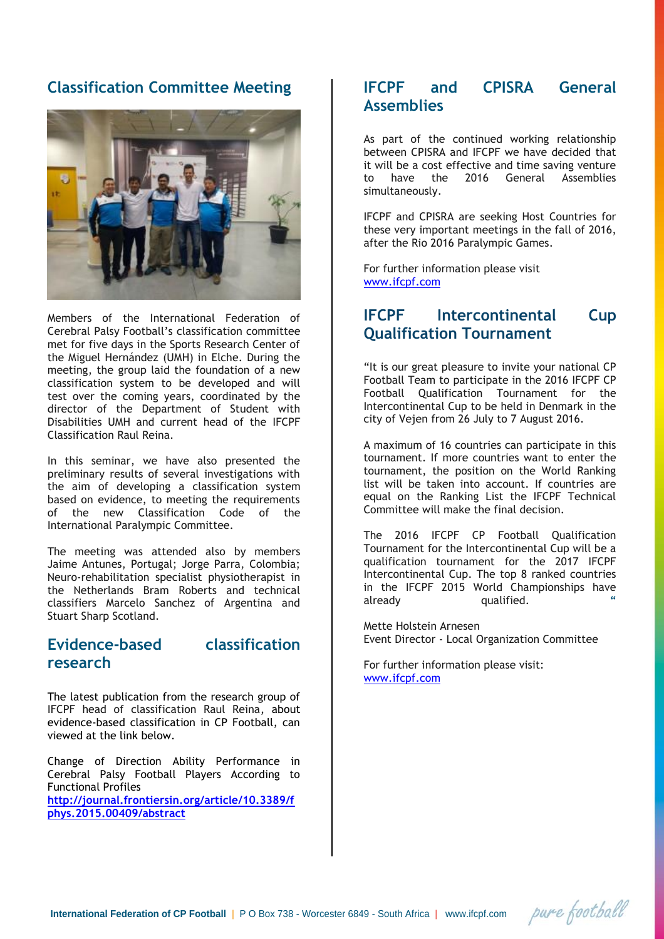## **Classification Committee Meeting**



Members of the International Federation of Cerebral Palsy Football's classification committee met for five days in the Sports Research Center of the Miguel Hernández (UMH) in Elche. During the meeting, the group laid the foundation of a new classification system to be developed and will test over the coming years, coordinated by the director of the Department of Student with Disabilities UMH and current head of the IFCPF Classification Raul Reina.

In this seminar, we have also presented the preliminary results of several investigations with the aim of developing a classification system based on evidence, to meeting the requirements of the new Classification Code of the International Paralympic Committee.

The meeting was attended also by members Jaime Antunes, Portugal; Jorge Parra, Colombia; Neuro-rehabilitation specialist physiotherapist in the Netherlands Bram Roberts and technical classifiers Marcelo Sanchez of Argentina and Stuart Sharp Scotland.

## **Evidence-based classification research**

The latest publication from the research group of IFCPF head of classification Raul Reina, about evidence-based classification in CP Football, can viewed at the link below.

Change of Direction Ability Performance in Cerebral Palsy Football Players According to Functional Profiles **http://journal.frontiersin.org/article/10.3389/f phys.2015.00409/abstract**

## **IFCPF and CPISRA General Assemblies**

As part of the continued working relationship between CPISRA and IFCPF we have decided that it will be a cost effective and time saving venture to have the 2016 General Assemblies simultaneously.

IFCPF and CPISRA are seeking Host Countries for these very important meetings in the fall of 2016, after the Rio 2016 Paralympic Games.

For further information please visit [www.ifcpf.com](http://www.ifcpf.com/)

## **IFCPF Intercontinental Cup Qualification Tournament**

"It is our great pleasure to invite your national CP Football Team to participate in the 2016 IFCPF CP Football Qualification Tournament for the Intercontinental Cup to be held in Denmark in the city of Vejen from 26 July to 7 August 2016.

A maximum of 16 countries can participate in this tournament. If more countries want to enter the tournament, the position on the World Ranking list will be taken into account. If countries are equal on the Ranking List the IFCPF Technical Committee will make the final decision.

The 2016 IFCPF CP Football Qualification Tournament for the Intercontinental Cup will be a qualification tournament for the 2017 IFCPF Intercontinental Cup. The top 8 ranked countries in the IFCPF 2015 World Championships have already qualified. **"**

Mette Holstein Arnesen Event Director - Local Organization Committee

pure football

For further information please visit: [www.ifcpf.com](http://www.ifcpf.com/)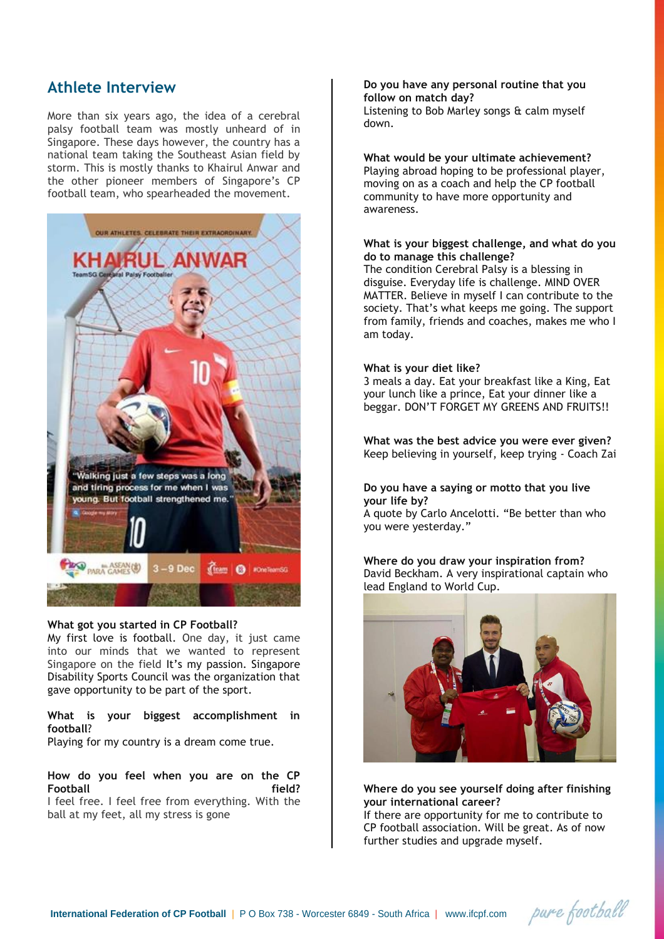## **Athlete Interview**

More than six years ago, the idea of a cerebral palsy football team was mostly unheard of in Singapore. These days however, the country has a national team taking the Southeast Asian field by storm. This is mostly thanks to Khairul Anwar and the other pioneer members of Singapore's CP football team, who spearheaded the movement.



#### **What got you started in CP Football?**

My first love is football. One day, it just came into our minds that we wanted to represent Singapore on the field It's my passion. Singapore Disability Sports Council was the organization that gave opportunity to be part of the sport.

#### **What is your biggest accomplishment in football**?

Playing for my country is a dream come true.

## **How do you feel when you are on the CP Football field?**

I feel free. I feel free from everything. With the ball at my feet, all my stress is gone

#### **Do you have any personal routine that you follow on match day?** Listening to Bob Marley songs & calm myself down.

#### **What would be your ultimate achievement?**

Playing abroad hoping to be professional player, moving on as a coach and help the CP football community to have more opportunity and awareness.

#### **What is your biggest challenge, and what do you do to manage this challenge?**

The condition Cerebral Palsy is a blessing in disguise. Everyday life is challenge. MIND OVER MATTER. Believe in myself I can contribute to the society. That's what keeps me going. The support from family, friends and coaches, makes me who I am today.

#### **What is your diet like?**

3 meals a day. Eat your breakfast like a King, Eat your lunch like a prince, Eat your dinner like a beggar. DON'T FORGET MY GREENS AND FRUITS!!

**What was the best advice you were ever given?** Keep believing in yourself, keep trying - Coach Zai

#### **Do you have a saying or motto that you live your life by?**

A quote by Carlo Ancelotti. "Be better than who you were yesterday."

#### **Where do you draw your inspiration from?** David Beckham. A very inspirational captain who lead England to World Cup.



### **Where do you see yourself doing after finishing your international career?**

If there are opportunity for me to contribute to CP football association. Will be great. As of now further studies and upgrade myself.

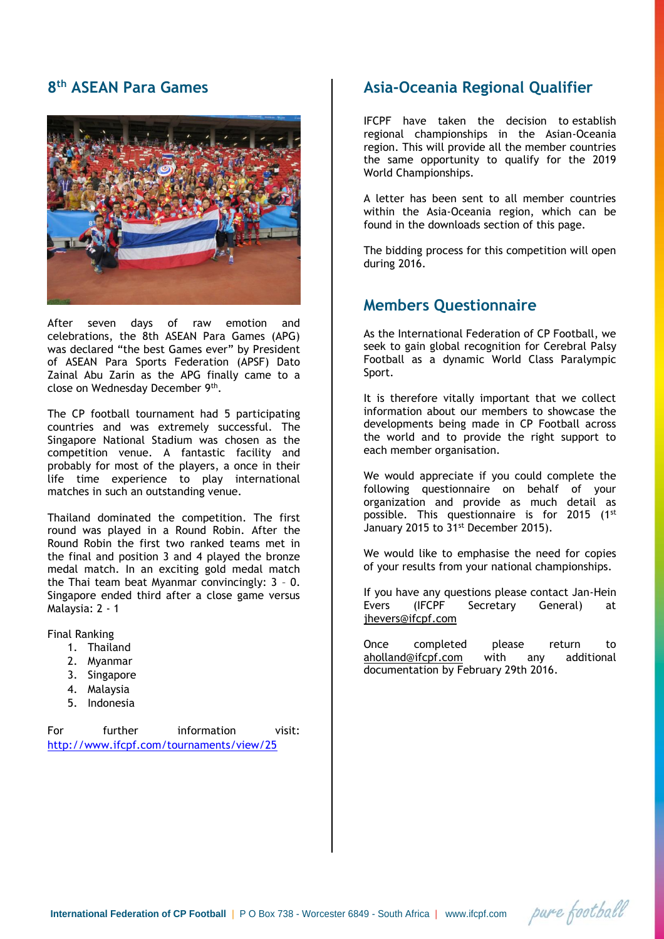## **8 th ASEAN Para Games**



After seven days of raw emotion and celebrations, the 8th ASEAN Para Games (APG) was declared "the best Games ever" by President of ASEAN Para Sports Federation (APSF) Dato Zainal Abu Zarin as the APG finally came to a close on Wednesday December 9th .

The CP football tournament had 5 participating countries and was extremely successful. The Singapore National Stadium was chosen as the competition venue. A fantastic facility and probably for most of the players, a once in their life time experience to play international matches in such an outstanding venue.

Thailand dominated the competition. The first round was played in a Round Robin. After the Round Robin the first two ranked teams met in the final and position 3 and 4 played the bronze medal match. In an exciting gold medal match the Thai team beat Myanmar convincingly: 3 – 0. Singapore ended third after a close game versus Malaysia: 2 - 1

Final Ranking

- 1. Thailand
- 2. Myanmar
- 3. Singapore
- 4. Malaysia
- 5. Indonesia

For further information visit: <http://www.ifcpf.com/tournaments/view/25>

## **Asia-Oceania Regional Qualifier**

IFCPF have taken the decision to establish regional championships in the Asian-Oceania region. This will provide all the member countries the same opportunity to qualify for the 2019 World Championships.

A letter has been sent to all member countries within the Asia-Oceania region, which can be found in the downloads section of this page.

The bidding process for this competition will open during 2016.

## **Members Questionnaire**

As the International Federation of CP Football, we seek to gain global recognition for Cerebral Palsy Football as a dynamic World Class Paralympic Sport.

It is therefore vitally important that we collect information about our members to showcase the developments being made in CP Football across the world and to provide the right support to each member organisation.

We would appreciate if you could complete the following questionnaire on behalf of your organization and provide as much detail as possible. This questionnaire is for 2015 (1st January 2015 to 31<sup>st</sup> December 2015).

We would like to emphasise the need for copies of your results from your national championships.

If you have any questions please contact Jan-Hein<br>Evers (IFCPF Secretary General) at Secretary General) at [jhevers@ifcpf.com](mailto:jhevers@ifcpf.com)

Once completed please return to [aholland@ifcpf.com](mailto:aholland@ifcpf.com) with any additional documentation by February 29th 2016.

pure football